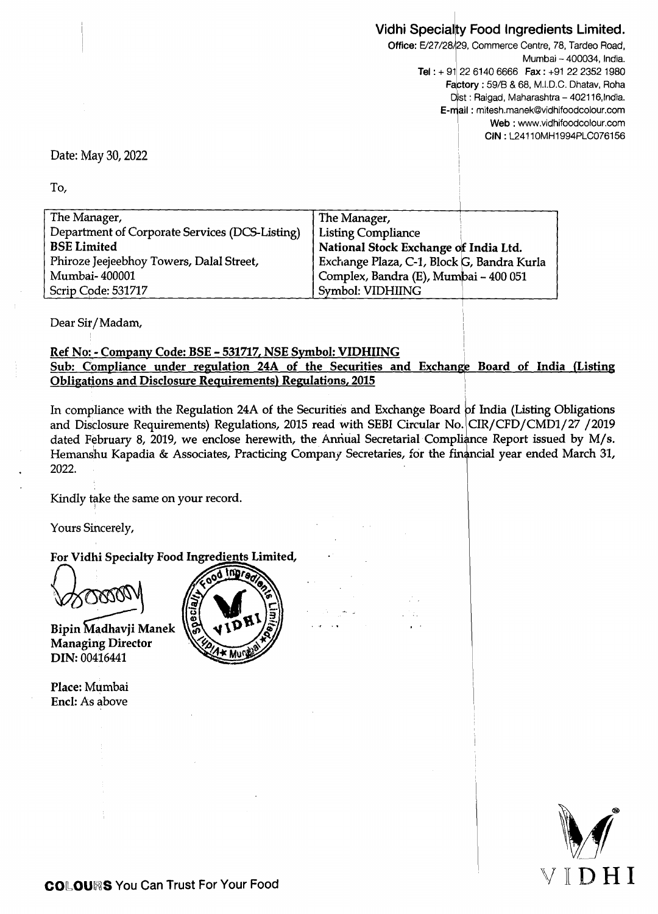## Vidhi Specialty Food Ingredients Limited.

Office: E/27/28/29, Commerce Centre, 78, Tardeo Road, Mumbai - 400034, India. Tel :  $+91$  22 6140 6666 Fax :  $+91$  22 2352 1980 Factory : 59/B & 68, M.I.D.C. Dhatav, Roha Dist : Raigad, Maharashtra - 402116, India. E-r\ail : mitesh.manek@vidhifoodcolour.com Web: www.vidhifoodcolour.com CIN: L24110MH1994PLC076156

I

..

Date: May 30, 2022

To,

| The Manager,                                   | The Manager,                               |
|------------------------------------------------|--------------------------------------------|
| Department of Corporate Services (DCS-Listing) | <b>Listing Compliance</b>                  |
| <b>BSE Limited</b>                             | National Stock Exchange of India Ltd.      |
| Phiroze Jeejeebhoy Towers, Dalal Street,       | Exchange Plaza, C-1, Block G, Bandra Kurla |
| Mumbai-400001                                  | Complex, Bandra (E), Mumbai - 400 051      |
| Scrip Code: 531717                             | Symbol: VIDHIING                           |

Dear Sir/Madam,

## Ref No: - Company Code: BSE - 531717, NSE Symbol: VIDHIING Sub: Compliance under regulation 24A of the Securities and Exchange Board of India (Listing Obligations and Disclosure Requirements) Regulations, 2015

In compliance with the Regulation 24A of the Securities and Exchange Board of India (Listing Obligations and Disclosure Requirements) Regulations, 2015 read with SEBI Circular No. CIR/CFD/CMD1/27 /2019 dated February 8, 2019, we enclose herewith, the Annual Secretarial Compliance Report issued by M/s. Hemanshu Kapadia & Associates, Practicing Company Secretaries, for the financial year ended March 31, 2022.

Kindly take the same on your record.

Yours Sincerely,

For Vidhi Specialty Food Ingredients Limited,

Bipin Madhavji Manek Managing Director DIN: 00416441

Place: Mumbai Encl: As above



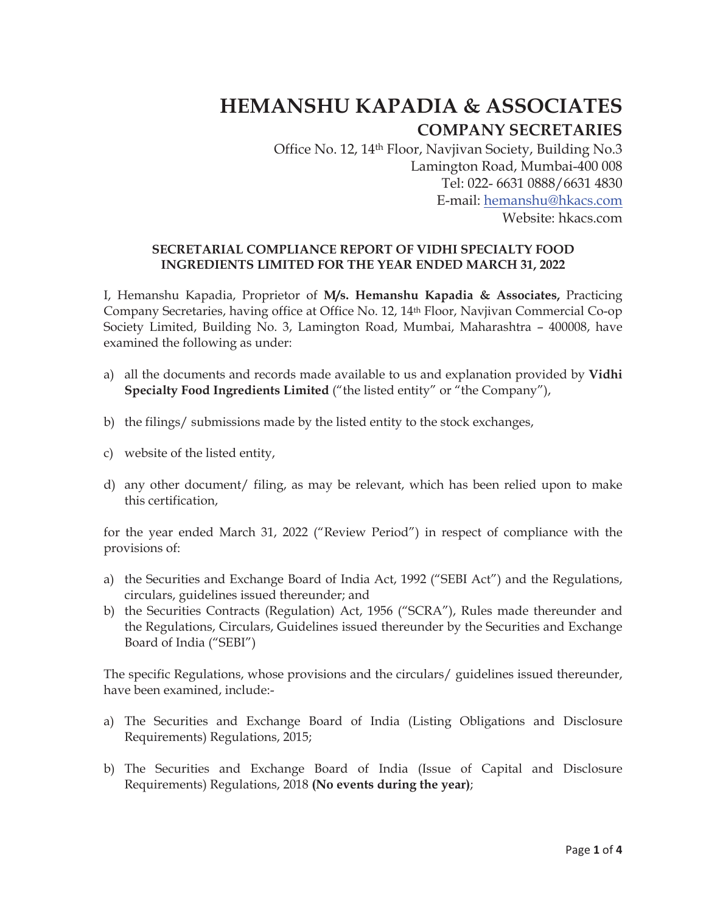# **HEMANSHU KAPADIA & ASSOCIATES**

## **COMPANY SECRETARIES**

Office No. 12, 14th Floor, Navjivan Society, Building No.3 Lamington Road, Mumbai-400 008 Tel: 022- 6631 0888/6631 4830 E-mail: hemanshu@hkacs.com Website: hkacs.com

#### **SECRETARIAL COMPLIANCE REPORT OF VIDHI SPECIALTY FOOD INGREDIENTS LIMITED FOR THE YEAR ENDED MARCH 31, 2022**

I, Hemanshu Kapadia, Proprietor of **M/s. Hemanshu Kapadia & Associates,** Practicing Company Secretaries, having office at Office No. 12, 14th Floor, Navjivan Commercial Co-op Society Limited, Building No. 3, Lamington Road, Mumbai, Maharashtra – 400008, have examined the following as under:

- a) all the documents and records made available to us and explanation provided by **Vidhi Specialty Food Ingredients Limited** ("the listed entity" or "the Company"),
- b) the filings/ submissions made by the listed entity to the stock exchanges,
- c) website of the listed entity,
- d) any other document/ filing, as may be relevant, which has been relied upon to make this certification,

for the year ended March 31, 2022 ("Review Period") in respect of compliance with the provisions of:

- a) the Securities and Exchange Board of India Act, 1992 ("SEBI Act") and the Regulations, circulars, guidelines issued thereunder; and
- b) the Securities Contracts (Regulation) Act, 1956 ("SCRA"), Rules made thereunder and the Regulations, Circulars, Guidelines issued thereunder by the Securities and Exchange Board of India ("SEBI")

The specific Regulations, whose provisions and the circulars/ guidelines issued thereunder, have been examined, include:-

- a) The Securities and Exchange Board of India (Listing Obligations and Disclosure Requirements) Regulations, 2015;
- b) The Securities and Exchange Board of India (Issue of Capital and Disclosure Requirements) Regulations, 2018 **(No events during the year)**;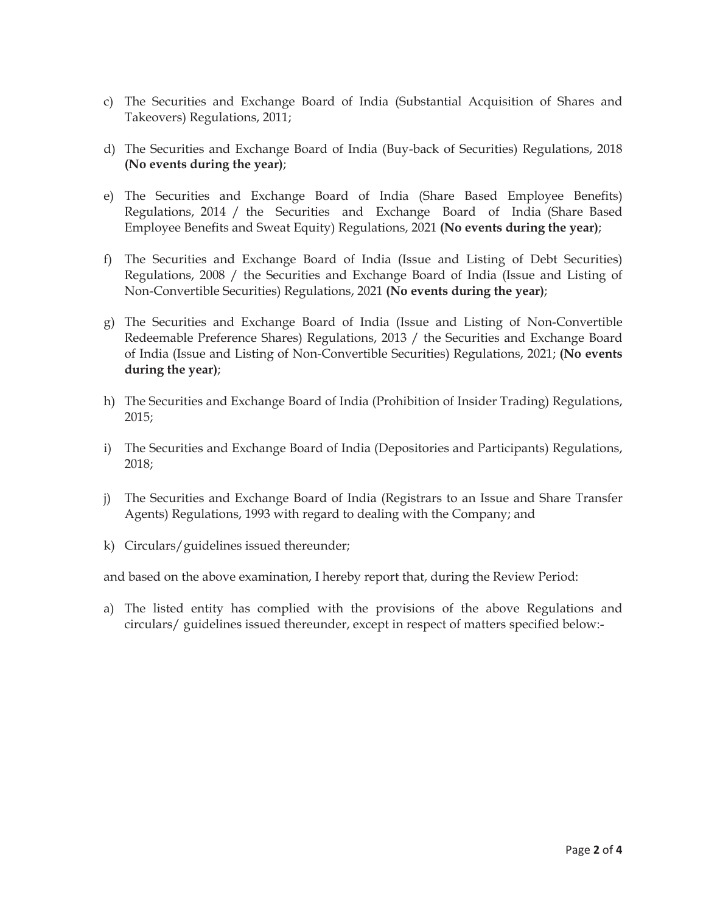- c) The Securities and Exchange Board of India (Substantial Acquisition of Shares and Takeovers) Regulations, 2011;
- d) The Securities and Exchange Board of India (Buy-back of Securities) Regulations, 2018 **(No events during the year)**;
- e) The Securities and Exchange Board of India (Share Based Employee Benefits) Regulations, 2014 / the Securities and Exchange Board of India (Share Based Employee Benefits and Sweat Equity) Regulations, 2021 **(No events during the year)**;
- f) The Securities and Exchange Board of India (Issue and Listing of Debt Securities) Regulations, 2008 / the Securities and Exchange Board of India (Issue and Listing of Non-Convertible Securities) Regulations, 2021 **(No events during the year)**;
- g) The Securities and Exchange Board of India (Issue and Listing of Non-Convertible Redeemable Preference Shares) Regulations, 2013 / the Securities and Exchange Board of India (Issue and Listing of Non-Convertible Securities) Regulations, 2021; **(No events during the year)**;
- h) The Securities and Exchange Board of India (Prohibition of Insider Trading) Regulations, 2015;
- i) The Securities and Exchange Board of India (Depositories and Participants) Regulations, 2018;
- j) The Securities and Exchange Board of India (Registrars to an Issue and Share Transfer Agents) Regulations, 1993 with regard to dealing with the Company; and
- k) Circulars/guidelines issued thereunder;

and based on the above examination, I hereby report that, during the Review Period:

a) The listed entity has complied with the provisions of the above Regulations and circulars/ guidelines issued thereunder, except in respect of matters specified below:-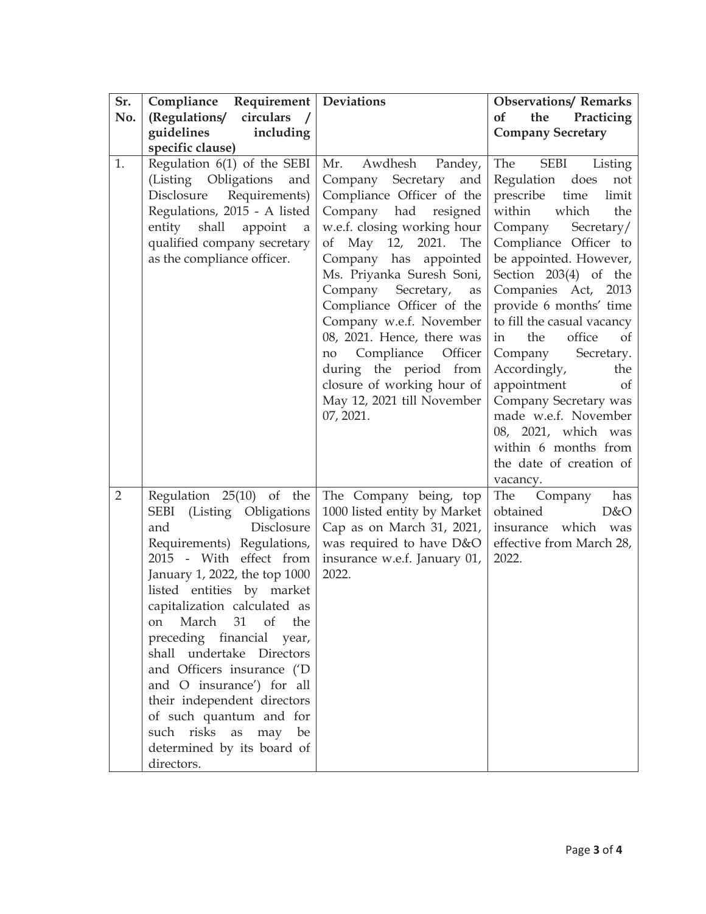| Sr.            | Compliance Requirement   Deviations                                                                                                                                                                                                                                                                                                                                                                                                                                                                           |                                                                                                                                                                                                                                                                                                                                                                                                                                                                                   | <b>Observations/ Remarks</b>                                                                                                                                                                                                                                                                                                                                                                                                                                                                                                                               |  |  |
|----------------|---------------------------------------------------------------------------------------------------------------------------------------------------------------------------------------------------------------------------------------------------------------------------------------------------------------------------------------------------------------------------------------------------------------------------------------------------------------------------------------------------------------|-----------------------------------------------------------------------------------------------------------------------------------------------------------------------------------------------------------------------------------------------------------------------------------------------------------------------------------------------------------------------------------------------------------------------------------------------------------------------------------|------------------------------------------------------------------------------------------------------------------------------------------------------------------------------------------------------------------------------------------------------------------------------------------------------------------------------------------------------------------------------------------------------------------------------------------------------------------------------------------------------------------------------------------------------------|--|--|
| No.            | (Regulations/ circulars /                                                                                                                                                                                                                                                                                                                                                                                                                                                                                     |                                                                                                                                                                                                                                                                                                                                                                                                                                                                                   | Practicing<br><b>of</b><br>the                                                                                                                                                                                                                                                                                                                                                                                                                                                                                                                             |  |  |
|                | guidelines<br>including                                                                                                                                                                                                                                                                                                                                                                                                                                                                                       |                                                                                                                                                                                                                                                                                                                                                                                                                                                                                   | <b>Company Secretary</b>                                                                                                                                                                                                                                                                                                                                                                                                                                                                                                                                   |  |  |
|                | specific clause)                                                                                                                                                                                                                                                                                                                                                                                                                                                                                              |                                                                                                                                                                                                                                                                                                                                                                                                                                                                                   |                                                                                                                                                                                                                                                                                                                                                                                                                                                                                                                                                            |  |  |
| 1.             | Regulation $6(1)$ of the SEBI<br>(Listing Obligations<br>and<br>Disclosure<br>Requirements)<br>Regulations, 2015 - A listed<br>entity shall<br>appoint<br>a<br>qualified company secretary<br>as the compliance officer.                                                                                                                                                                                                                                                                                      | Awdhesh<br>Mr.<br>Pandey,<br>Company Secretary<br>and<br>Compliance Officer of the<br>Company had resigned<br>w.e.f. closing working hour<br>of May $12$ ,<br>2021.<br>The<br>Company has appointed<br>Ms. Priyanka Suresh Soni,<br>Company Secretary,<br>as<br>Compliance Officer of the<br>Company w.e.f. November<br>08, 2021. Hence, there was<br>Compliance Officer<br>no<br>during the period from<br>closure of working hour of<br>May 12, 2021 till November<br>07, 2021. | The<br><b>SEBI</b><br>Listing<br>Regulation<br>does<br>not<br>prescribe<br>time<br>limit<br>which<br>within<br>the<br>Company<br>Secretary/<br>Compliance Officer to<br>be appointed. However,<br>Section 203(4) of the<br>Companies Act, 2013<br>provide 6 months' time<br>to fill the casual vacancy<br>office<br>of<br>the<br>in<br>Company<br>Secretary.<br>Accordingly,<br>the<br>appointment<br><sub>of</sub><br>Company Secretary was<br>made w.e.f. November<br>08, 2021, which was<br>within 6 months from<br>the date of creation of<br>vacancy. |  |  |
| $\overline{2}$ | Regulation 25(10) of the<br>SEBI (Listing Obligations<br>Disclosure<br>and<br>Requirements) Regulations,<br>2015 - With effect from<br>January 1, 2022, the top 1000<br>listed entities by market<br>capitalization calculated as<br>March 31 of the<br>on<br>preceding financial year,<br>shall undertake Directors<br>and Officers insurance ('D<br>and O insurance') for all<br>their independent directors<br>of such quantum and for<br>such risks as may be<br>determined by its board of<br>directors. | The Company being, top<br>1000 listed entity by Market<br>Cap as on March 31, 2021,<br>was required to have D&O<br>insurance w.e.f. January 01,<br>2022.                                                                                                                                                                                                                                                                                                                          | The Company<br>has<br>obtained<br>D&O<br>insurance which was<br>effective from March 28,<br>2022.                                                                                                                                                                                                                                                                                                                                                                                                                                                          |  |  |